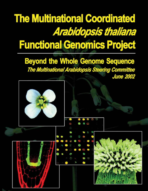# **The Multinational Coordinated Arabidopsis thaliana Functional Genomics Project**

**Beyond the Whole Genome Sequence** The Multinational Arabidopsis Steering Committee **June 2002** 



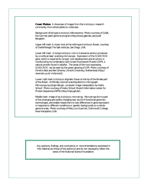**Cover Photos:** A showcase of images from the *Arabidopsis* research community, from whole plants to molecules.

Background: Wild-type *Arabidopsis* inflorescence. Photo courtesy of GABI, the German plant genome program [\(http://www.gabi.de\),](http://www.gabi.de) and Josef Bergstein.

Upper left inset: A closer look at the wild-type *Arabidopsis* flower, courtesy of Detlef Weigel, The Salk Institute, San Diego, USA.

Lower left inset: A living *Arabidopsis* root in transverse section, produced by a confocal laser scanning microscope. Expression of the *SCARECROW* gene, which is required for proper root development and structure, is monitored by its combination with Green Fluorescent Protein (GFP), a natural protein found in jellyfish. The areas of the root expressing *SCARECROW* can be seen by the green glowing of GFP. Photo courtesy of Dimitris Beis and Ben Scheres, Utrecht University, Netherlands [\(http://](http://) www.bio.uu.nl/~mcbroots/).

Lower right inset: *Arabidopsis* stigmatic tissue on the tip of the female part of the flower. Artificially colored scanning electron micrograph. Microscopy by Jürgen Berger, computer image manipulation by Heiko Schoof. Photo courtesy of Heiko Schoof, Munich Information center for Protein Sequences (MIPS) [\(http://mips.gsf.de/\).](http://mips.gsf.de/)

Middle inset: Image of an *Arabidopsis* microarray. Microarrays form a part of the emerging and swiftly changing new world of functional genomics technologies, and enable researchers to test differences in gene expression in response to different conditions or genetic backgrounds on a wholegenome scale. Photo courtesy of Mary Lou Guerinot, Dartmouth College, New Hampshire, USA.

Any opinions, findings, and conclusions or recommendations expressed in this material are those of the author(s) and do not necessarily reflect the views of the National Science Foundation.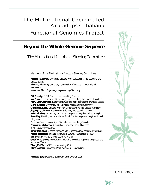## **The Multinational Coordinated** *Arabidopsis thaliana*  **Functional Genomics Project**

## **Beyond the Whole Genome Sequence**

The Multinational *Arabidopsis* Steering Committee

Members of the Multinational *Arabidopsis* Steering Committee

**Michael Sussman**, Co-chair, University of Wisconsin, representing the United States **Thomas Altmann**, Co-chair, University of Potsdam / Max-Planck-Institute of

Molecular Plant Physiology, representing Germany

**Bill Crosby**, NCR Canada, representing Canada **Ian Furner**, University of Cambridge, representing the United Kingdom **Mary Lou Guerinot**, Dartmouth College, representing the United States **Gerd J**ü**rgens**, University of Tübingen, representing Germany **Ottoline Leyser**, University of York, representing the United Kingdom Jiayang Li, Chinese Academy of Sciences, representing China **Keith Lindsey**, University of Durham, representing the United Kingdom **Sean May**, Nottingham *Arabidopsis* Stock Center, representing the United Kingdom Peter McCourt, University of Toronto, representing Canada **Fernando Migliaccio**, Consiglio Nazionale delle Ricerche (CNR), representing Italy

**Javier Paz-Ares**, Centro National de Biotechnoligia, representing Spain **Kazuo Shinozaki**, RIKEN Tsukuba Institute, representing Japan **Ian Small**, **INRA-Evry**, representing France

**Geoff Wasteneys**, Australian National University, representing Australia and New Zealand

**ZhangCai Yan**, NSFC, representing China

**Marc Zabeau**, European Plant Sciences Organization

**Rebecca Joy**, Executive Secretary and Coordinator



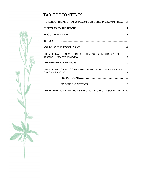## TABLE OF CONTENTS

| MEMBERS OF THE MULTINATIONAL ARABIDOPSIS STEERING COMMITTEEi            |
|-------------------------------------------------------------------------|
|                                                                         |
|                                                                         |
|                                                                         |
|                                                                         |
| THE MULTINATIONAL COORDINATED ARABIDOPSIS THALIANA GENOME               |
|                                                                         |
| THE MULTINATIONAL COORDINATED ARABIDOPSIS THALIANA FUNCTIONAL           |
|                                                                         |
|                                                                         |
| TUE IN TERM LATION ALL ARARIBORGICELINI OTIONAL OF LOMICS COMMUNITY CO. |

THE INTERNATIONAL *ARABIDOPSIS* FUNCTIONAL GENOMICS COMMUNITY...20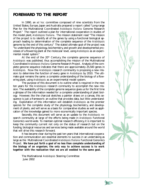## **FOREWARD TO THE REPORT**

In 1990, an *ad hoc* committee composed of nine scientists from the United States, Europe, Japan and Australia prepared a report called "Long-range Plan for the Multinational Coordinated *Arabidopsis thaliana* Genome Research Project." The report outlined a plan for international cooperation in studies of the model plant, *Arabidopsis thaliana*. The mission statement read "The mission of the project is to identify all of the genes by using a functional biological approach leading to determination of the complete sequence of the *Arabidopsis* genome by the end of this century." The stated ultimate goal of the project was "to understand the physiology, biochemistry, and growth and developmental processes of a flowering plant at the molecular level, using *Arabidopsis* as an experimental model system."

At the end of the 20<sup>th</sup> Century, the complete genome sequence of *Arabidopsis* was published, thus accomplishing the mission of the Multinational Coordinated *Arabidopsis thaliana* Genome Research Project. Analysis of the complete genome sequence indicates that there are approximately 25,500 genes in *Arabidopsis*. Now the *Arabidopsis* research community is proposing a new mission: to determine the function of every gene in *Arabidopsis* by 2010. The ultimate goal remains the same: a complete understanding of the biology of a flowering plant, using *Arabidopsis* as an experimental model system.

The purpose of this document is to outline what is required in the next ten years for the *Arabidopsis* research community to accomplish the new mission. The availability of the complete genome sequence gives us for the first time a glimpse of the information needed for a complete understanding of plant biology. However, like the charcoal sketches a painter draws on a canvas, this sequence is just a framework: an outline that provides data, but little understanding. Exploitation of this information will establish *Arabidopsis* as the premier species for the complete study of the physiology, biochemistry, and development of plants, and will serve as a basis for comparative studies as well as application of the knowledge gained to more economically important species.

Secondly, this document will serve as an update to the *Arabidopsis* research community at large of the efforts being made in *Arabidopsis* Functional Genomics world-wide. To maintain optimal research efficiency, it is important to keep the community current not only on the status of research but on the funding, biological resources and services being made available around the world that will drive this research forward.

It has became clear during the past ten years that international cooperation and communication are essential elements to success in an undertaking as large as the Multinational Coordinated *Arabidopsis thaliana* Functional Genomics Project. **We have put forth a goal of no less than complete understanding of the biology of an organism; the only way to achieve success is to work together with the realization that we are all wedded to the same goal.**

The Multinational *Arabidopsis* Steering Committee June 2002



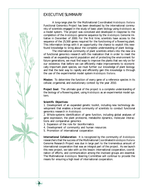## EXECUTIVE SUMMARY

A long-range plan for the Multinational Coordinated *Arabidopsis thaliana* Functional Genomics Project has been developed by the international community of scientists engaged in the study of basic plant biology using *Arabidopsis* as a model system. The project was conceived and developed in response to the completion of the *Arabidopsis* genome sequence by the *Arabidopsis* Genome Initiative in December of 2000. For the first time, scientists have access to the sequence of the 25,500 genes required for the functioning of a flowering plant. This information brings with it an opportunity: the chance to exploit this newfound knowledge to bring about the complete understanding of plant biology.

The international community of plant scientists enters into the new era of functional genomics research with the realization that in order to meet the needs of an expanding world population and of protecting the environment for future generations, we must find ways to improve the plants that we rely on for our existence; that before we can efficiently make improvements to economically important plant species, we must further our knowledge of plant biology; and that the best way to rapidly and efficiently gain this knowledge is through the use of the experimental model system *Arabidopsis thaliana*.

**Mission:** To determine the function of every gene of a reference species in its cellular, organismal, and evolutionary context by the year 2010.

**Project Goal:** The ultimate goal of the project is a complete understanding of the biology of a flowering plant, using *Arabidopsis* as an experimental model system.

### **Scientific Objectives:**

1. Development of an expanded genetic toolkit, including new technology development that enables a broad community of scientists to conduct functional genomics research in *Arabidopsis*

2. Whole-systems identification of gene function, including global analyses of gene expression, the plant proteome, metabolite dynamics, molecular interactions and comparative genomics

- 3. Expansion of the role for bioinformatics
- 4. Development of community and human resources
- 5. Promotion of international cooperation

**International Collaboration:** It is recognized by the community of *Arabidopsis* researchers that the success of the Multinational Coordinated *Arabidopsis thaliana* Genome Research Project was due in large part to the tremendous amount of international cooperation that was an integral part of the project. As we launch this new project, we take with us this lesson: international cooperation, coordination of efforts, and communication among the involved groups are essential. The Multinational *Arabidopsis* Steering Committee will continue to provide the means for ensuring a high level of international cooperation.

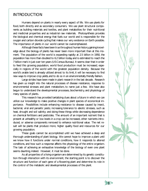## INTRODUCTION

Humans depend on plants in nearly every aspect of life. We use plants for food, both directly and as secondary consumers. We use plant structural components as building materials and textiles, and plant metabolites for their nutritional and medicinal properties and as industrial raw materials. Photosynthesis provides the biological and chemical energy that fuels our world and is responsible for the oxygen and carbon dioxide cycling that makes our very existence on Earth possible. The importance of plants in our world cannot be overemphasized.

Although these facts have been true throughout human history, gaining knowledge about the biology of plants has never been more important than at this moment. The population of the world is expanding rapidly: at 2.5 billion in 1950, the population has more than doubled to 6.2 billion today, and is estimated to reach the 7 billion mark in just over ten years (US Census Bureau). It seems clear that in order to feed this growing population, world food production must be increased, especially in regions of the world with the greatest population density. Because the world's arable land is already utilized almost to its limit, it will be necessary to find new ways to improve crop yields, and to do so in an environmentally friendly fashion.

Large strides have been made in plant research in the last decade. Research has given us insight into the natural processes of disease resistance, response to environmental stresses and plant metabolism, to name just a few. We have also begun to understand the developmental processes, biochemistry, and physiology of many species of plants.

This research has provided tantalizing clues about a future in which we can utilize our knowledge to make positive changes in plant species of economical importance. Possibilities include enhancing resistance to disease caused by insect, bacterial, viral and parasitic pests; increasing tolerance to abiotic stresses, such as heat, drought and soil salinity; and doing these things while decreasing dependence on chemical fertilizers and pesticides. The amount of an important nutrient that is present at unhealthy or low levels in a crop can be increased, other nutrients introduced, or adverse components removed to enhance nutritional value. The net result will be plants that produce more, higher quality food and resources for our growing population.

These goals cannot be accomplished until we have achieved a deep and thorough understanding of plant biology. We cannot hope to improve a plant until we know how it functions under normal conditions, how it responds to altered conditions, and how such a response affects the physiology of the entire organism. The task of achieving an exhaustive knowledge of the biology of even one plant seems daunting, indeed. However, it must be done.

As all properties of a living organism are determined by its genetic constitution through interaction with its environment, the starting point is to discover the structure and function of each gene of a flowering plant and determine its role in the control of the metabolic and developmental processes of the plant.



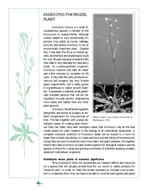

**4**

## *ARABIDOPSIS*:THE MODEL PLANT

*Arabidopsis thaliana* is a small dicotyledonous species, a member of the *Brassicaceae* or mustard family. Although closely related to such economically important crop plants as turnip, cabbage, broccoli, and canola, *Arabidopsis* is not an economically important plant. Despite this, it has been the focus of intense genetic, biochemical and physiological study for over 40 years because of several traits that make it very desirable for laboratory study. As a photosynthetic organism, *Arabidopsis* requires only light, air, water and a few minerals to complete its life cycle. It has a fast life cycle, produces numerous self progeny, has very limited space requirements, and is easily grown in a greenhouse or indoor growth chamber. It possesses a relatively small, genetically tractable genome that can be manipulated through genetic engineering more easily and rapidly than any other plant genome.

*Arabidopsis*, like all flowering plants, dehydrates and stores its progeny at ambient temperature for long periods of time. This fact, together with a newly developed means of creating gene knock-



 *Photo credit: Luca Comai, University of Washington, USA*

out lines, has made many basic biologists realize that *Arabidopsis* may be the best model system for basic research in the biology of all multicellular eukaryotes. A complete knockout collection of *Arabidopsis* seeds can be housed in a room no larger than a closet (see photo); to create and store a similar library of knockouts for mouse, flies and worms would be much more labor and space intensive. All together, these traits make *Arabidopsis* an ideal model organism for biological research and the species of choice for a large and growing community of scientists studying complex, advanced multicellular organisms.

#### *Arabidopsis versus plants of economic significance*

Why *Arabidopsis*? Why not concentrate our research efforts and resources on a species that will actually provide food for our world or useful products for industrial uses? In order to make the strides necessary to increase crop production in a relatively short time, we have to be able to move forward quickly and spend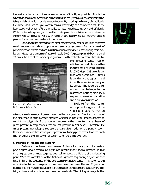the available human and financial resources as efficiently as possible. This is the advantage of a model system: an organism that is easily manipulated, genetically tractable, and about which much is already known. By studying the biology of *Arabidopsis*, the model plant, we can gain comprehensive knowledge of a complete plant. In the laboratory, *Arabidopsis* offers the ability to test hypotheses quickly and efficiently. With the knowledge we gain from the model plant thus established as a reference system, we can move forward with research and rapidly initiate improvements in plants of economic and cultural importance.

One advantage offered to the plant researcher by *Arabidopsis* is its relatively small genome size. Many crop species have large genomes, often as a result of polyploidization events and accumulation of non-coding sequences during their evolution. Maize has a genome of approximately 2400 Megabase pairs (Mbp) – around 19 times the size of the *Arabidopsis* genome – with probably no more than double



*Photo credit: Mike Sussman University of Wisconsin*

the number of genes, most of which occur in duplicate within the genome. The wheat genome is 16000 Mbp – 128 times larger than *Arabidopsis* and 5 times larger than *Homo sapiens* – and it has three copies of many of its genes. The large crop genomes pose challenges to the researcher, including difficulty in sequencing as well as in isolation and cloning of mutant loci.

Evidence from the rice genome project suggests that the *Arabidopsis* genome may be

missing some homologs of genes present in the rice genome. Despite this, most of the difference in gene number between *Arabidopsis* and crop species appears to result from polyploidy of crop species' genomes, rather than from large classes of genes present in crop species that are not present in *Arabidopsis*. Therefore, the genes present in *Arabidopsis* represent a reasonable model for the plant kingdom. However, it is clear that *Arabidopsis* represents a starting point rather than the finish line for utilizing the full power of genomics for crop improvement.

#### *A tradition of Arabidopsis research*

*Arabidopsis* has been the organism of choice for many plant biochemists, physiologists, developmental biologists and geneticists for several decades. In that time, a great deal of knowledge has been gained about the biology of this flowering plant. With the completion of the *Arabidopsis* genome sequencing project, we now have in hand the sequence of the approximately 25,500 genes in its genome. An extensive toolkit for manipulation has been developed over the last 20 years, including efficient mutagenesis, facile transformation technology, and DNA, RNA, protein, and metabolite isolation and detection methods. The biological reagents that



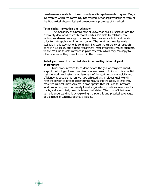have been made available to the community enable rapid research progress. Ongoing research within the community has resulted in working knowledge of many of the biochemical, physiological, and developmental processes of *Arabidopsis*.

#### *Technological innovation and education*

The availability of a broad base of knowledge about *Arabidopsis* and the previously developed research toolkit invites scientists to establish new techniques, develop new approaches, and test new concepts in *Arabidopsis* prior to their application in other species. The novel technologies made available in this way not only continually increase the efficiency of research done in *Arabidopsis*, but expose researchers, most importantly young scientists, to the most up-to-date methods in plant research, which they can apply to other species as they move forward in their career.

#### *Arabidopsis research is the first step in an exciting future of plant improvement*

Much work remains to be done before the goal of complete knowledge of the biology of even one plant species comes to fruition. It is essential that the work leading to the achievement of this goal be done as quickly and efficiently as possible. When we have achieved this ambitious goal, we will have the power to predict experimental results and the ability to efficiently make the rational improvements in crop species that will lead to increased food production, environmentally friendly agricultural practices, new uses for plants, and even totally new plant-based industries. The most efficient way to gain this understanding is by exploiting the scientific and practical advantages of the model organism *Arabidopsis thaliana*.



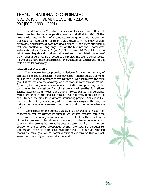## THE MULTINATIONAL COORDINATED *ARABIDOPSIS THALIANA* GENOME RESEARCH PROJECT (1990 – 2001)

The Multinational Coordinated *Arabidopsis thaliana* Genome Research Project was launched as a cooperative international effort in 1990. At that time, a vision was put forth of a sequenced model genome and the progress that could be made using that genome as a resource in the study of plant physiology, biochemistry, growth and development. A document published in that year, entitled "A Long-range Plan for the Multinational Coordinated *Arabidopsis thaliana* Genome Project" (NSF document 90-80) put forward a set of research goals and priorities that would lead to complete knowledge of the *Arabidopsis* genome. By all accounts the project has been a great success. All the goals have been accomplished or surpassed, as summarized in the table on the following page.

#### *International Cooperation*

The Genome Project provided a platform for a whole new way of approaching scientific problems. It acknowledged from the outset that members of the *Arabidopsis* research community are all working toward the same goal; it is therefore to the advantage of all to work in a cooperative manner. By setting forth a goal of international coordination and providing for this coordination by the creation of a multinational committee (the Multinational Science Steering Committee), the Genome Project started and developed with a degree of international cooperation that had rarely been seen in the past. Indeed, the *Arabidopsis* genome sequencing project (*Arabidopsis* Genome Initiative – AGI) is widely regarded as a positive example of the progress that can be made when a research community works together to achieve a goal.

Looking back on the project thus far, it is clear that it is this spirit of cooperation that has allowed its success. As genome research enters the next phase of functional genomic research, we must take with us the lessons of the first ten years: international cooperation, coordination of efforts, and communication among the involved groups are essential. By minimizing duplication of effort, removing obstacles for sharing of data and biological resources, and emphasizing the clear realization that all groups are working toward the same goal, we can foster a spirit of cooperation that will well serve the community, and eventually the world.



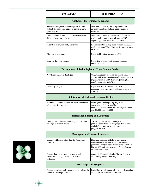#### **1990 GOALS 2001 PROGRESS**

| Analysis of the Arabidopsis genome                                                                                        |                                                                                                                                                                                              |  |
|---------------------------------------------------------------------------------------------------------------------------|----------------------------------------------------------------------------------------------------------------------------------------------------------------------------------------------|--|
| Saturation mutagenesis and development of facile<br>methods for transposon tagging to define as many<br>genes as possible | Over 500,000 lines of chemically-induced and<br>insertion mutants created and made available to<br>research community                                                                        |  |
| Creation of cDNA and EST libraries representing<br>different tissues and cell types                                       | Over 150,000 ESTs in GenBank; cDNA libraries<br>readily available and several full length cDNA<br>sequencing projects underway world-wide                                                    |  |
| Integration of physical and genetic maps                                                                                  | Recombinant Inbred map made available in 1993,<br>used to construct YAC, BAC, and P1 physical maps<br>by 1997                                                                                |  |
| Mapping of centromeres                                                                                                    | Completed by tetrad analysis in 1998                                                                                                                                                         |  |
| Sequence the entire genome                                                                                                | Completion of Arabidopsis genome sequence,<br>December 2000                                                                                                                                  |  |
| <b>Development of Technologies for Plant Genome Studies</b>                                                               |                                                                                                                                                                                              |  |
| New transformation technologies                                                                                           | Vacuum infiltration and Floral dip technologies,<br>coupled with new-generation transformation plasmids<br>(Agrobacterium T-DNA derivatives) make plant<br>transformation easy and efficient |  |
| Un-anticipated goal                                                                                                       | Expression analysis tools such as DNA chips,<br>microarrays and yeast two hybrid systems became<br>available                                                                                 |  |
| <b>Establishment of Biological Resource Centers</b>                                                                       |                                                                                                                                                                                              |  |
| Establish two centers to serve the world-community<br>of Arabidopsis researchers                                          | NASC (http://arabidopsis.org.uk/), ABRC<br>(http://www.arabidopsis.org/abrc/<br>index.html), established in 1991 and together handled<br>over 90,000 orders in 2000                          |  |
| <b>Information Sharing and Databases</b>                                                                                  |                                                                                                                                                                                              |  |
| Development of an informatics program to facilitate<br>exchange of research results                                       | TAIR (http://www.arabidopsis.org), AGR<br>(http://ukcrop.net/agr/), Newsgroups (UK based:<br>Arabuk@lists.bbsrc.ac.uk; US based: arab-<br>gen@net.bio.net)                                   |  |
| <b>Development of Human Resources</b>                                                                                     |                                                                                                                                                                                              |  |

| Support postdoctoral fellowships for Arabidopsis<br>research                                                   | Numerous postdoctoral fellows were trained<br>worldwide under various Arabidopsis research<br>programs. Young scientists dominate the Arabidopsis<br>biology field, indicating successful efforts in human<br>resource development |
|----------------------------------------------------------------------------------------------------------------|------------------------------------------------------------------------------------------------------------------------------------------------------------------------------------------------------------------------------------|
| Support short-term scientist exchanges and short<br>courses for training in Arabidopsis research<br>techniques | Annual Arabidopsis Molecular Biology Course held at<br>Cold Spring Harbor Laboratory                                                                                                                                               |
|                                                                                                                | <b>Workshops and Symposia</b>                                                                                                                                                                                                      |
| Support workshops and symposia to disseminate the                                                              | Establishment and support of an annual International                                                                                                                                                                               |

Conference on Arabidopsis Research

results of Arabidopsis research



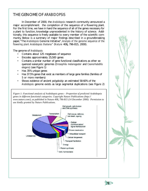## THE GENOME OF *ARABIDOPSIS*

In December of 2000, the *Arabidopsis* research community announced a major accomplishment: the completion of the sequence of a flowering plant. For the first time, we have in hand the sequence of all of the genes necessary for a plant to function, knowledge unprecedented in the history of science. Additionally, this sequence is freely available to every member of the scientific community. Below is a summary of major findings described in a groundbreaking paper, "The *Arabidopsis* Genome Initiative", *Analysis of the genome sequence of the flowering plant Arabidopsis thaliana*" (*Nature* 408**,** 796-815, 2000).

The genome of *Arabidopsis*:

- Contains about 125 megabases of sequence
- Encodes approximately 25,500 genes
- Contains a similar number of gene functional classifications as other sequenced eukaryotic genomes (*Drosophila melanogaster* and *Ceanorhabditis elegans*) (see Figure 1)
- Has 35% unique genes
- Has 37.5% genes that exist as members of large gene families (families of 5 or more members)
- Shows evidence of ancient polyploidy: an estimated 58-60% of the *Arabidopsis* genome exists as large segmental duplications (see Figure 2)

*Figure 1: Functional analysis of* Arabidopsis *genes – Proportion of predicted* Arabidopsis *genes in different functional categories. Copyright Nature Publications [\(http://](http://) www.nature.com/), as published in* Nature *408, 796-815 (14 December 2000). Permission to use kindly granted by Nature Publications.*





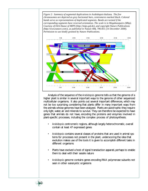*Figure 2: Summary of segmental duplications in* Arabidopsis thaliana*. The five chromosomes are depicted as grey horizontal bars, centromeres marked black. Colored bands serve as representations of duplicated segments. Bands are twisted if the corresponding segments have reversed orientation. The scale is in Megabasepairs (Mbp). Courtesy of Dirk Haase of MIPS [\(http://mips.gsf.de\),](http://mips.gsf.de) and copyright Nature Publications [\(http://www.nature.com/\),](http://www.nature.com/) as published in* Nature *408, 796-815 (14 December 2000). Permission to use kindly granted by Nature Publications.*



Analysis of the sequence of the *Arabidopsis* genome tells us that the genome of a higher plant is similar in several important ways to the genome of other sequenced multicellular organisms. It also points out several important differences, which may not be too surprising, considering that plants differ in many important ways from the animals whose genomes have been analyzed. Plants are autotrophic: they require only light, water, air and minerals to survive. They can therefore be expected to have genes that animals do not have, encoding the proteins and enzymes involved in plant-specific processes, including the complex process of photosynthesis.

- *Arabidopsis* centromeric regions, although largely heterochromatic, overall contain at least 47 expressed genes
- *Arabidopsis* contains several classes of proteins that are used in animal systems for processes not present in the plant, underscoring the idea that evolution makes use of the tools it is given to accomplish different tasks in different organisms
- Plants have evolved a host of signal transduction apparati, perhaps to enable them to deal with their sessile nature
- *Arabidopsis* genome contains genes encoding RNA polymerase subunits not seen in other eukaryotic organisms

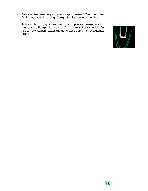- *Arabidopsis* has genes unique to plants approximately 150 unique protein families were found, including 16 unique families of transcription factors
- *Arabidopsis* has many gene families common to plants and animals which have been greatly expanded in plants – for instance, *Arabidopsis* contains 10 fold as many aquaporin (water channel) proteins than any other sequenced organism



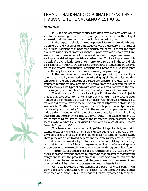## THE MULTINATIONAL COORDINATED *ARABIDOPSIS THALIANA* FUNCTIONAL GENOMICS PROJECT

#### **Project Goals**

**12**

In 1990, a set of research priorities and goals were put forth which would lead to the knowledge of a complete plant genome sequence. With that goal successfully met, the time has come to put forth a new set of goals.

In this respect, probably the most important information provided through the analysis of the *Arabidopsis* genome sequence was the discovery of the limits of our current understanding of plant gene function and of the roles that the genes play in the multiplicity of processes involved in plant metabolism, development and interaction with the environment. The several decades of pre-genome research in *Arabidopsis* has yielded experimental data on less than 10% of *Arabidopsis* genes. It is the task of the *Arabidopsis* research community to ensure that in the same timely and cooperative manner as we approached the challenge of sequencing the genome, we use the genome information to understand the function of all *Arabidopsis* genes and in this way to achieve comprehensive knowledge of plant biology.

In the genome sequencing era, the many groups making up the *Arabidopsis* genomics community were working toward a single goal. Technologies and data converged on the single endpoint of a sequenced genome. The destination of a sequenced genome has now become a launchpad; from this launchpad will spring many technologies and types of data with which we will move forward to the new, multi-pronged goal of complete functional knowledge of an *Arabidopsis* plant.

The Multinational Coordinated *Arabidopsis* Functional Genomics Project is an idea that developed from a workshop that was held in early 2000 entitled "Functional Genomics and the Virtual Plant: A blueprint for understanding how plants are built and how to improve them" (text available at <http://www.arabidopsis.org/> info/workshop2010.html). Resulting from the workshop were new objectives for the *Arabidopsis* community, "to exploit the revolution in plant genomics by understanding the function of all genes of a reference species within their cellular, organismal and evolutionary context by the year 2010." The details of this project can be viewed as the second phase of the far-reaching vision described by the scientists who launched the Multinational Coordinated *Arabidopsis thaliana* Genome Research Project in 1990.

To achieve a complete understanding of the biology of a plant, we must in essence create a wiring diagram of a plant throughout its entire life cycle: from germinating seed to production of the next generation of seeds in mature flowers. These processes are controlled by genes and the proteins they encode. They are directed by both intrinsic developmental cues and environmental signals. The longterm goal for plant biology following complete sequencing of the *Arabidopsis* genome is to understand every molecular interaction in every cell throughout a plant lifecycle.

The ultimate expression of our goal is nothing short of a virtual plant which one could observe growing on a computer screen, being able to impose environmental changes and to stop this process at any point in that development, and with the click of a computer mouse, accessing all the genetic information expressed in any organ or cell and the molecular processes mediated by these factors.

Complete knowledge of the workings of a plant – a "virtual plant" – will allow a profound understanding of the biochemical processes and physiological responses of a plant. This knowledge will allow hypothesis testing and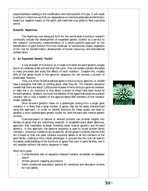experimentation leading to the modification and improvement of crops. It will result in a future in which we can limit our dependence on chemical pesticides and fertilizers, lessen our negative impact on the earth, and maximize crop yields to feed a growing world.

#### **Scientific Objectives**

The objectives now being put forth for the world-wide *Arabidopsis* research community include the development of expanded genetic toolkits as a service to the research community, implementation of a whole-systems approach to the identification of gene function from the molecular to evolutionary levels, expansion of the role for bioinformatics, development of human resources, and international collaboration.

#### *1) An Expanded Genetic Toolkit*

A key strength of *Arabidopsis* as a model is its facile forward genetics, largely due to its relatively small size and short life cycle. One can isolate mutants disrupted in many processes and study the effects of each mutation. Despite this, roughly 40% of the genes found in the genomic sequence do not encode a protein of predictable function.

Thus, out of the 25,500 predicted genes in the *Arabidopsis* genome, ca. 10,000 have a sequence that tells us nothing about what they do. For instance, sequence reveals that there are about 1,200 protein kinases in the *Arabidopsis* genome; however, to date, the *in situ* functions of only about a dozen of these have been found by forward genetics. Similarly, we know the identity of the ligand that binds the putative receptor site in only a handful of the approximately 600 members of the receptor kinase subfamily.

Since forward genetics relies on a phenotype arising from a single gene mutation, it is likely that a large number of genes may not be easily characterized using this approach. In order to identify functions for these genes, we need to develop a more sophisticated genetic toolkit for both forward and reverse genetic screens.

Overexpression of natural or altered proteins can provide insights into families of genes that are collectively essential. A straightforward, albeit laborious, approach that resembles strategic breeding weds reverse genetics and forward genetics. In this approach, the genome sequence is used to locate protein family members. Knockout mutations are located for all the genes in a family and the lines are crossed so that one plant contains knockout alleles of all the members of the gene family, creating a more robust phenotype. A process like this one can lead to increased understanding of the functions of genes that exist in gene families, and is not possible without the entire sequence in hand.

Short-term goals:

- Comprehensive sets of sequence indexed mutants, accessible via database search
- Whole genome mapping procedures
- Facile conditional expression systems for sensitized and saturation screens for rare alleles



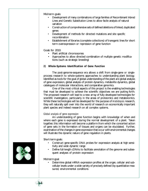Mid-term goals:

- Development of many combinations of large families of Recombinant Inbred Lines and Genetic Substitution Lines to allow facile analysis of natural variation
- Construction of comprehensive sets of defined deletions of linked, duplicated genes
- Development of methods for directed mutations and site specific recombination
- Establishment of libraries (complete collections) of transgenic lines for short term overexpression or repression of gene function

Goals for 2010:

- Plant artificial chromosomes
- Approaches to allow directed combination of multiple genetic modifications (such as strategic breeding)

#### *2) Whole-Systems Identification of Gene Function*

The post-genome-sequence era allows a shift from single-gene or singleprocess research to whole-systems approaches to understanding plant biology. Identified as tools for the goal of global understanding of the plant are global analysis of gene expression, global analysis of protein dynamics, metabolite dynamics, global catalogues of molecular interactions, and comparative genomics.

One of the most critical aspects of this project is the enabling technologies that must be developed to achieve the scientific objectives we are putting forth. The proposed research will lead to a new array of fully developed technologies for scientific investigation, particularly in the areas of proteomics and metabolomics. While these technologies will be developed for the purpose of *Arabidopsis* research, they will naturally spill over into the world of research on economically important plant species and indeed research on all complex systems.

#### *Global analysis of gene expression*

An understanding of gene function begins with knowledge of when and where each gene is expressed during the normal development of a plant. Taken together, this information will become a platform from which the concerted action of gene sets in the formation of tissues and organs can be elucidated. Further, examination of the changes in gene expression that occur with environmental changes will illustrate the dynamic nature of gene regulation in plants.

Short-term goals:

- Construct gene-specific DNA probes for expression analysis at high sensitivity and wide dynamic range
- Define full-length cDNAs to facilitate annotation of the genome and subsequent analyses of protein expression

Mid-term goal:

• Determine global mRNA expression profiles at the organ, cellular and subcellular levels under a wide variety of precisely defined (by quantitative measures) environmental conditions



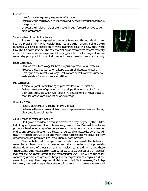Goals for 2010:

- Identify the cis-regulatory sequences of all genes
- Determine the regulatory circuits controlled by each transcription factor in the genome
- Uncover the *in planta* role of every gene through forward or reverse genetic approaches

#### *Global analysis of the plant proteome*

The sum of gene expression changes is translated through development into the proteins from which cellular machines are built. Understanding protein dynamics will enable prediction of what machines exist and how they work throughout a plant's life cycle. This aspect of *Arabidopsis* research has become especially important, because recent experimentation suggests that RNA changes alone are remarkably poor predictors for final changes in protein levels or enzymatic activity.

#### Short-term goals:

- Develop facile technology for heterologous expression of all proteins
- Produce antibodies against, or epitope tags on, all deducted proteins
- Catalogue protein profiles at organ, cellular and subcellular levels under a wide variety of environmental conditions

#### Mid-term goals:

- Achieve a global understanding of post-translational modification
- Define the subsets of genes encoding small peptides or small RNAs and their gene products, which will require the development of novel analytical tools for analysis and modulation of expression

#### Goals for 2010:

- Identify biochemical functions for every protein
- Determine three-dimensional structures of representative members of every plant-specific protein family

#### *Global analysis of metabolite dynamics*

Plant growth and development is dictated, to a large degree, by the uptake, trafficking, storage and use of low molecular weight metabolites. Plant cellular factories produce a bewildering array of secondary metabolites, upon which a large amount of drug and product discovery are based. Understanding metabolite dynamics will result in more efficient use of soil and water based nutrients and will allow rationally designed food and pharmaceutical production in plant factories.

New, sophisticated mass spectrometry techniques provide the *Arabidopsis* researcher a different type of microscope: one that allows us to monitor potentially thousands or tens of thousands of small molecules at a time. Using these "microscopes", the mass spectrometers will allow us to see changes at the molecular level that the eye cannot detect at the morphological level. This will be critical for connecting genetic changes with changes in the expression of enzymes and the metabolic pathways they comprise. Much like we collect RNA data using DNA chip technology, we need to expand our phenotypic screens to include newly developed



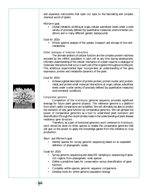and expensive instruments that open our eyes to the fascinating and complex chemical world of plants.

#### Mid-term goal:

• Global metabolic profiling at organ, cellular, subcellular levels under a wide variety of precisely defined (by quantitative measures) environmental conditions and in many different genetic backgrounds

#### Goal for 2010:

• Whole systems analysis of the uptake, transport and storage of ions and metabolites

#### *Global catalogues of molecular interactions*

The ultimate arbiters of cellular function are the complex protein machines encoded by the mRNA population in each cell at any time during development. Ultimate understanding of the cellular mechanics of a plant requires a catalogue of molecular interactions that occur in each cell of the organism throughout its lifecycle. This ambitious experimental layer incorporates an understanding of the gene expression, protein and metabolite dynamics of the plant.

#### Goal for 2010:

• Achieve a global description of protein-protein, protein-nucleic acid, proteinmetal, and protein-small molecule interactions at organ, cellular, subcellular levels under a wide variety of precisely defined (by quantitative measures) environmental conditions.

#### *Comparative genomics*

Completion of the *Arabidopsis* genome sequence provides significant leverage for future plant genome projects. The reference genome is a platform from which useful comparisons are simplified. We will ultimately be able to predict the evolution of new gene function by comparative genomics. We can glimpse the power of comparative genomics as a tool to understand plant evolution and diversification through the recent strides made in the understanding of plant disease resistance gene structure.

Therefore, as a part of functional genomics work centered on *Arabidopsis*, work should be done on other species to enable the comparative genomics that will give us the power to apply the knowledge gained from this initiative to crop production.

Short- and Mid-term goal:

Identify species for survey genomic sequencing based on an expanded definition of phylogenetic nodes

#### Goals for 2010:

- Survey genomic sequencing and deep EST sampling or sequencing of generich regions from phylogenetic node species
- Define a predictive basis for conservation versus diversification of gene function
- Complete within-species genomic sequence comparisons
- Develop tools for whole genome population biology



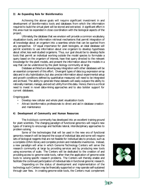#### *3) An Expanding Role for Bioinformatics*

Achieving the above goals will require significant investment in and development of bioinformatics tools and databases from which the information required to build the virtual plant will be stored and extracted. A significant effort in this area must be expended in close coordination with the biological aspects of the project.

Ultimately, the database that we envision will provide a common vocabulary, visualization tools, and information retrieval mechanisms that permit integration of all knowledge about an organism into a seamless whole that can be queried from any perspective. Of equal importance for plant biologists, an ideal database will permit scientists to use information about one organism to develop hypotheses about other, less well-studied organisms. Thus, our goal should be to develop facile tools that permit an individual working outside the model species to formulate a query based on the organism of interest, have that query directed to the relevant knowledge for the plant models, and present the information about the models in a way that can be understood by the plant biology community at large.

Database architecture allowing easy integration with other databases will be an essential component of this effort. Divergent types of data (e.g. expression array data and in situ hybridization, but also precise information about experimental setup and growth conditions defined by quantitative measures) will need to be integrated and archived. The ability to generate these datasets will easily outpace the ability to rationally maintain, manage, and extract utility from this data. Hence, there is a critical need to invest in novel data-mining approaches and to also bolster support for current databases.

Ongoing goals:

- Develop new cellular and whole plant visualization tools
- Attract bioinformatics professionals to direct and aid in database creation and maintenance

#### *4) Development of Community and Human Resources*

The *Arabidopsis* community has developed into an excellent training ground for plant scientists. The changing paradigm of functional genomics will require new types of training to encourage and facilitate lateral, interdisciplinary approaches to problem solving.

Some of the technologies that will be used in the new era of functional genomics research will be beyond the scope of individual labs and some will require sets of biological reagents that are not feasible for individual labs to produce, such as a complete cDNA library and complete protein and metabolite inventories. Instead, a new paradigm will arise in which Genome Technology Centers will serve the research community at large by providing services and by producing new tools using economies of scale. The Centers will be dedicated to the creation of and providing access to genome-wide tools, rather than the application of genome-wide tools to solving specific research problems. The Centers will thereby enable and facilitate the continued participation of individual labs in functional genomic research.

Depending on the status of development and implementation of the technology, such Centers may be financially supported or may operate self-sustained through user fees. In creating genome-wide tools, the Centers must complement



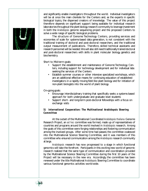

and significantly enable investigators throughout the world. Individual investigators will be at once the main clientele for the Centers and, as the experts in specific biological topics, the dispersed creators of knowledge. The value of this project therefore depends on significant support being available for individual research laboratories throughout the plant biology research community to leverage investment in both the *Arabidopsis* genome sequencing project and the proposed Centers to solve a wide range of specific biological problems.

The structure of Genome Technology Centers, providing services and economies of scale for systems-based data generation, is not consistent with the traditional training of doctoral and post-doctoral researchers, and the traditional output measurement of publications. Therefore, skilled technical assistants and research personnel will be needed. We will also still need traditionally trained doctoral and post-doctoral researchers with skills in plant molecular biology, genetics and biochemistry.

Short to Mid-term goals:

- Support the establishment and maintenance of Genome Technology Centers, including support for technology development and for individual labs seeking the services of the Centers
- Establish summer courses or other intensive specialized workshops, which are an additional effective means for continuing education of established investigators in a rapidly moving field like plant biology and for initiation of non-plant biologists into the world of plant biology

On-going goals:

- Encourage interdisciplinary training that specifically seeks a systems-based approach for both undergraduate and graduate level students
- Support short- and long-term post-doctoral fellowships with a focus on exchange visits

#### *5) International Cooperation: The Multinational Arabidopsis Steering Committee*

At the outset of the Multinational Coordinated *Arabidopsis thaliana* Genome Research Project, an *ad hoc* committee was formed, made up of representatives of countries and programs around the world involved in *Arabidopsis* research. Among the goals of this committee were forging relationships and fostering communication among the involved groups. After some time had passed, the committee coalesced into the Multinational Science Steering Committee, and it was members of this committee who ensured communication among the *Arabidopsis* research community at large.

*Arabidopsis* research has now progressed to a stage in which functional genomics will take the forefront. Participants in this exciting new world of genomic research realized that the same type of communication and coordination provided by the Multinational Science Steering Committee during the first 10 years of the Project will be necessary in the new era. Accordingly, the committee has been renewed under the title Multinational *Arabidopsis* Steering Committee to coordinate various functional genomics activities world-wide.

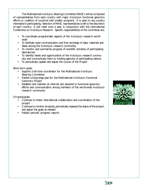The Multinational *Arabidopsis* Steering Committee (MASC) will be composed of representatives from each country with major *Arabidopsis* functional genomics efforts or coalition of countries with smaller programs. It is open to any country interested in participating. Selection of MASC representatives is left to the discretion of each country. It will meet once a year in conjunction with the International Conference on *Arabidopsis* Research. Specific responsibilities of the committee are:

- To coordinate programmatic aspects of the *Arabidopsis* research worldwide
- To facilitate open communication and free exchange of data, materials and ideas among the *Arabidopsis* research community
- To monitor and summarize progress of scientific activities of participating laboratories
- To identify needs and opportunities of the *Arabidopsis* research community and communicate them to funding agencies of participating nations
- To periodically update and adjust the course of the Project

Short-term goals:

- Appoint a full time coordinator for the Multinational *Arabidopsis* Steering Committee
- Publish a long-range plan for the Multinational *Arabidopsis* Functional Genomics Project
- Establish and maintain an internet site devoted to functional genomics efforts and communication among members of the world-wide *Arabidopsis* research community

On-going goals:

- Continue to foster international collaboration and coordination of the project
- Continue to monitor progress, periodically reassess the status of the project, and adjust the goals as needed
- Publish periodic progress reports



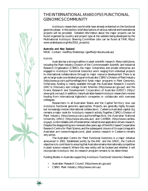## THE INTERNATIONAL *ARABIDOPSIS* FUNCTIONAL GENOMICS COMMUNITY

*Arabidopsis* researchers world-wide have already embarked on the functional genomics phase. In this section, brief descriptions of various national and transnational projects will be provided. Detailed information about the major projects can be found organized by country and project type at the website being developed by the Multinational *Arabidopsis* Steering Committee (site can be found at TAIR, <http://> www.arabidopsis.org/info/2010\_projects).

#### **Australia and New Zealand**

MASC Contact: Geoffrey Wasteneys (geoffw@rsbs.anu.edu.au)

#### *Australia*

**20**

Australia has a strong tradition in plant scientific research. Many institutions, including the Plant Industry Division of the Commonwealth Scientific and Industrial Research Organisation (CSIRO), the major Universities and private enterprise are engaged in *Arabidopsis* Functional Genomics work ranging from individual projects to international collaborations through to major resource development. There is as yet no large-scale coordinated program in Australia. CSIRO's Division of Plant Industry [\(http://www.pi.csiro.au/HomePage.htm\)](http://www.pi.csiro.au/HomePage.htm) funds major programs in Plant Genomics. Otherwise, funding is mainly available through the Australian Research Council's (ARC's) Discovery and Linkage Grant Schemes [\(http://www.arc.gov.au/\)](http://www.arc.gov.au/) and the Grains Research and Development Corporation of Australia (GRDC) [\(http://](http://) www.grdc.com.au/). In addition, many Australian-based *Arabidopsis* researchers receive funding from international Agbiotech companies or collaborate with overseas colleagues.

Researchers in all Australian States and the Capital Territory now use *Arabidopsis* functional genomics approaches. Projects are generally highly focused, but increasingly involve international collaborators. Canberra, Australia's capital city, remains a major node for *Arabidopsis* research activity. Together, CSIRO's Division of Plant Industry [\(http://www.pi.csiro.au/HomePage.htm\),](http://www.pi.csiro.au/HomePage.htm) the Australian National University (ANU) [\(http://www.anu.edu.au/\),](http://www.anu.edu.au/) and CAMBIA [\(http://www.cambia.](http://www.cambia) org.au/), is a formidable unit of fundamental, industrial and application-driven research. Despite the disappointing non-renewal a few years ago of the ANU-based Cooperative Research Centre for Plant Science, and the subsequent closure of Groupe Limagrain's Australian arm (www.limagrain.com), plant science research in Canberra remains very active.

The Australian Centre for Plant Functional Genomics is a major initiative announced in 2001. Established jointly by the ARC and the GRDC, the Centre's objective is to contribute to ensuring that Australia remains internationally competitive in plant science research. Where this new entity will be located and whether it will incorporate *Arabidopsis* into its research program remains to be determined.

Funding Bodies in Australia supporting *Arabidopsis* Functional Genomics Research

- Australian Research Council [\(http://www.arc.gov.au/\)](http://www.arc.gov.au/)
- CSIRO Plant Industry [\(http://www.csiro.au\)](http://www.csiro.au))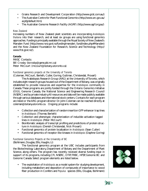- Grains Research and Development Corporation [\(http://www.grdc.com.au/\)](http://www.grdc.com.au/)
- The Australian Centre for Plant Functional Genomics [\(http://www.arc.gov.au/](http://www.arc.gov.au/) acpfg/default.htm)
- The Australian Genome Research Facility (AGRF) [\(http://www.agrf.org.au/\)](http://www.agrf.org.au/)

#### *New Zealand*

Increasing numbers of New Zealand plant scientists are incorporating *Arabidopsis thaliana* into their research, and at least six groups are using functional genomics approaches. Funding is principally available through the Royal Society of New Zealand's Marsden Fund [\(http://www.rsnz.govt.nz/funding/marsden\\_fund/index.php#Marsden\)](http://www.rsnz.govt.nz/funding/marsden_fund/index.php#Marsden) and the New Zealand Foundation for Research, Science and Technology [\(http://](http://) www.frst.govt.nz/).

#### **Canada**

MASC Contacts: Bill Crosby (bcrosby@gene.pbi.nrc.ca) Peter McCourt (mccourt@botany.utoronto.ca)

#### *Functional genomics projects at the University of Toronto*

(Coleman, McCourt, Berleth, Cutler, Goring, Guttman, Christendat, Provart) The Arabidopsis Research Group (ARG) at the University of Toronto, which includes eight research groups housed out of the Department of Botany, was originally established to provide resources and expertise for the *Arabidopsis* community in Canada. These programs are jointly funded through the Ontario Genomics Initiative (OGI), Genome Canada, the National Science and Engineering Research Council (NSERC) and by private industry. All resources and data will be made publicly available through various databases and international stock centers. Contacts for each program are listed or the ARG program director Dr. John Coleman can be reached directly at coleman@botany.utoronto.ca. Ongoing programs include:

- Collection and characterization of random insertion GFP enhancer trap lines in *Arabidopsis* (Thomas Berleth)
- Collection and phenotypic characterization of inducible activation tagged lines in *Arabidopsis* (Peter McCourt)
- Bioinfomatic analysis of transcript profiling and predictions of protein structure in *Arabidopsis* (Denish Christendat, Nick Provart)
- Functional genomics of protein localization in *Arabidopsis* (Sean Cutler)
- Functional genomics of receptor-like kinases in *Arabidopsis* (Daphne Goring)

#### *Functional Genomics Projects at the University of BC* (Bohlmann, Douglas, Ellis, Haughn, Li)

The functional genomics program at the UBC includes participants from the Biotechnology Laboratory, Department of Botany and the Department of Plant Science, along others. The program has recently received diverse funding input in support of its programs, including CFI, NSERC, OTIP, FRBC, HFSP, Genome BC and Genome Canada. Select program elements are listed below.

• The exploitation of *Arabidopsis* as a model system for studying development, including metabolism and deposition of compounds of importance to wood fiber production in Conifers and *Populus* species (Ellis, Douglas, Bohlmann)



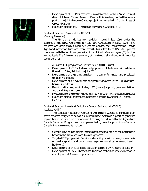

- Development of TILLING resources, in collaboration with Dr. Steve Henikoff (Fred Hutchison Cancer Research Centre, Univ. Washington, Seattle) in support of the joint Genome Canada project concerned with Abiotic Stress of Crops (Haughn)
- Molecular biology of SAR response pathways in *Arabidopsis* (Li)

#### *Functional Genomics Projects at the NRC-PBI* (Crosby, Risseeuw)

The PBI program derives from activity initiated in late 1999, under the auspices of the NRC 'Genomics in Health and Agriculture Initiative' (GHI). The program was additionally funded by Genome Canada, the Saskatchewan-Canada Agri-Food Innovation Fund and, more recently, has linked to an NSF 2010 project concerned with the functional genomics of the Ubiquitin-Protein Ligase (E3) families in *Arabidopsis*. The following is a summary of the structural and functional genomics sub-programs:

- A limited EST program for *Brassica napus* (40,000 runs)
- Development of a T-DNA disrupted population of *Arabidopsis* (in collaboration with J. Ecker, Salk Inst., La Jolla, CA)
- Development of a genomic amplicon microarray for known and predicted genes of *Arabidopsis*
- Development of a 2-hybrid 'map' for proteins involved in the E3 Ligase functions in *Arabidopsis*
- Bioinformatics program including HPC (cluster) support, gene annotation and data integration tools
- Investigation of the role of *ASK* genes in SCF function in *Arabidopsis* (Risseeuw)
- Molecular biology of pathogen response signaling in *Arabidopsis* (Fobert, Dépres)

#### *Functional Genomics Projects at Agriculture Canada, Saskatoon (AAFC-SRC)* (Lydiate, Parkin)

The Saskatoon Research Center of Agriculture Canada is conducting an active program designed to exploit *Arabidopsis* model system in support of genomics approaches to *Brassica* crop development. The program is funded by the Agriculture Canada Genomics Program, and is supplemented by recent support from Genome Canada. Program elements include:

- Genetic, physical and bioinformatics approaches to defining the relationship between the *Arabidopsis* and *Brassica* genomes
- Targeted EST programs in *Brassica* and *Arabidopsis*, with a biological emphasis on cold adaptation and biotic stress response (fungal pathogenesis; insect herbivory)
- Development of an *Arabidopsis* activation-tagged T-DNA insert population
- Development of SAGE libraries and tools for analysis of gene expression in *Arabidopsis* and *Brassica* crop species

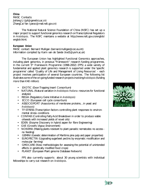#### **China**

MASC Contacts: JiaYang Li (jyli@genetics.ac.cn) ZhangCai Yan (yanzc@mail.nsfc.gov.cn)

The National Natural Science Foundation of China (NSFC) has set up a major project to support functional genomics research on Transcriptional Regulators in *Arabidopsis*. The NSFC maintains a website at <http://www.nsfc.gov.cn/english/> english.html.

#### **European Union**

MASC contact: Bernard Mulligan (bernard.mulligan@cec.eu.int) Information compiled by Karin van de Sande (kvd1@york.ac.uk)

The European Union has highlighted Functional Genomics approaches, including plant genomics, in previous "Framework" research funding programmes. In the current 5<sup>th</sup> Framework Programme (1998-2002) (FP5) a wide variety of fundamental and applied plant genomics research is supported under the 'specific programme' called 'Quality of Life and Management of Living Resources' – each project involves participation of several European countries. The following list illustrates some of the on-going funded research projects involving *Arabidopsis* (funding more than €40 million):

- EXOTIC (Exon Trapping Insert Consortium)
- NATURAL (Natural variation in *Arabidopsis thaliana*: resources for functional analysis)
- REGIA (Regulatory Gene Initiative in *Arabidopsis*)
- ECCO (European cell cycle consortium)
- ASSOCIOPORT (Associomics of membrane proteins…in yeast and *Arabidopsis*)
- TF-STRESS (Transcription factors controlling plant responses to environmental stress conditions
- CONFAB (Controlling Fatty Acid Breakdown in order to produce viable oilseeds with increased yields of novel oils)
- EDEN (Enzyme Discovery in hybrid aspen for fibre Engineering)
- GVE (Growth, Vigour, Environment)
- NONEMA (Making plants resistant to plant parasitic nematodes: no access no feeding)
- GEMINI (Genetic determination of Maritime pine pulp and paper properties)
- EUROPECTIN (Upgrading sugarbeet pectins by enzymatic modification and molecular farming)
- GMOCARE (New methodologies for assessing the potential of unintended effects in genetically modified food crops)
- PLANET (European Plant genome Database Network)

FP5 also currently supports about 30 young scientists with individual fellowships to carry out research on *Arabidopsis*.



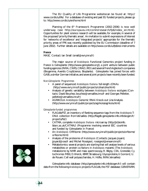The EU Quality of Life Programme websitecan be found at: <http://> www.cordis.lu/life/. For a database of existing and past EU funded projects, please go to: <http://www.cordis.lu/en/home.html>

Planning of the 6<sup>th</sup> Framework Programme (2002-2006) is now well underway (see [http://europa.eu.int/comm/research/fp6/index\\_en.html\).](http://europa.eu.int/comm/research/fp6/index_en.html) Opportunities for plant science research will be available, for example, in several of the proposed 'priority thematic areas'. An invitation to submit expressions of interest for 'networks of excellence' and 'integrated projects' appropriate for the thematic priority areas of FP6 was recently published by the EU Commission (deadline of 7 June 2002). Further details are available on <http://www.cordis.lu/fp6/eoi-instruments>

#### **France**

MASC Contact: Ian Small (small@evry.inra.fr)

The major source of *Arabidopsis* Functional Genomics project funding in France is Génoplante [\(http://www.genoplante.org/\),](http://www.genoplante.org/) a joint venture between public funding agencies (INRA, CNRS, CIRAD, IRD) and several French Agbiotech companies (Biogemma, Aventis CropScience, Bioplante). Génoplante has joined forces with GABI, a similar German initiative, and several joint projects have recently been funded.

#### *Non-Génoplante Programmes*

- A panel of sequenced *Arabidopsis thaliana* full-length cDNAs [\(http://www.evry.inra.fr/public/projects/cdna/cdna.html\)](http://www.evry.inra.fr/public/projects/cdna/cdna.html)
- Analysis of genetic variability between *Arabidopsis thaliana* ecotypes (Contacts: David Bouchez, bouchez@versailles.inra.fr and Georges Pelletier, pelletie@versailles.inra.fr)
- AGRIKOLA: *Arabidopsis* Genomic RNAi Knock-out Line Analysis [\(http://www.evry.inra.fr/public/projects/agrikola/agrikola.html\)](http://www.evry.inra.fr/public/projects/agrikola/agrikola.html)

#### *Génoplante-funded programmes*

- FLAGdb/FST, an inventory of flanking sequence tags from the *Arabidopsis* T-DNA collection from Versailles [\(http://flagdb-genoplante-info.infobiogen.fr/](http://flagdb-genoplante-info.infobiogen.fr/) projects/fst/)
- CATMA, complete *Arabidopsis thaliana* microarray [\(http://jicbioinfo.](http://jicbioinfo) bbsrc.ac.uk/CATMA/) (Programme involving several EEC countries and funded by Génoplante in France)
- An *Arabidopsis* ORFeome [\(http://www.evry.inra.fr/public/projects/orfeome/](http://www.evry.inra.fr/public/projects/orfeome/) orfeome.html)
- Analysis of the proteome of *Arabidopsis* (Contacts: Jacques Joyard, jjoyard@cea.fr and Michel Rossignol, rossignol@ensam.inra.fr)
- Metabolomics: several projects are starting that will analyse levels of various metabolites or protein co-factors in *Arabidopsis* mutants (The *Arabidopsis* metabolome by NMR and mass spectroscopy, R. Bligny, CEA, Grenoble; Cy tochromes P450, D. Werck, IBMP, Strasbourg; Glycoproteins, V. Gomord, U. de Rouen; Cell wall polysaccharides, H. Höfte, INRA, Versailles)

Génoplante-info database [\(http://genoplante-info.infobiogen.fr/\)](http://genoplante-info.infobiogen.fr/) will contain data from the following *Arabidopsis* projects: FLAGdb, the FST database; GENEFARM,



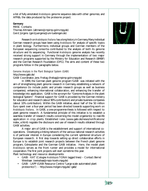a list of fully annotated *Arabidopsis* genome sequence data with other genomes; and AFPdb, the data produced by the proteome project.

#### **Germany**

MASC Contacts: Thomas Altmann (altmann@mpimp-golm.mpg.de) Gerd Jürgens (gerd.juergens@uni-tuebingen.de)

Research on *Arabidopsis thaliana* has a long history in Germany. Many individual German research groups have been using *Arabidopsis* for analysis of specific topics in plant biology. Furthermore, individual groups and German members of the European sequencing consortia contributed to the analysis of both its genome structure and its sequencing. Functional *Arabidopsis* genome analysis has recently received strong support in Germany through the implementation of two major research programs supported by the Ministry for Education and Research (BMBF) and the German Research Foundation (DFG). The aims and content of these two programs follow in the paragraphs below.

#### *Genome Analysis in the Plant Biological System (GABI)* <http://www.gabi.de/>

GABI Coordinator, Jens Freitag (freitag@mpimp-golm.mpg.de)

In 1999, the German plant genome program 'GABI´ was initiated with the aim of strengthening plant genome research in Germany, establishing a network of competence (to include public and private research groups as well as business companies), enhancing international collaboration, and enhancing the transfer of knowledge into application. GABI is the acronym for "Genome Analysis in the plant biological System." Financial support for GABI is provided by the German ministry for education and research (about 90% contribution) and private business companies (about 10% contribution). Within the GABI initiative, about half of the 50 million Euro spent over a four-year period has been directed towards supporting work on *Arabidopsis thaliana*. In GABI, a one-programme-thesis is followed with respect to plant genome research. A fundamental principle of this initiative is to establish a seamless transfer of research results concerning the model organism(s) to real-life application in crop plants. Established rules (www.gabi.de/news/notifications/ index e.html) regulate the disclosure and use of research results obtained through GABI activities.

A major aim of GABI is the establishment and support of international cooperations. Developing a linking network of the various national research activities is of particular interest in Europe considering the current splintered structure of European research. A first step towards setting up direct collaborative efforts in Europe is to establish joint research projects between the French plant genome program, Génoplante and the German GABI initiative. Here, the model plant *Arabidopsis* serves as the front runner and provides a model for international cooperation. The first joint projects will start sometime this year. Plant technology and resource developments:

- GABI KAT (Cologne *Arabidopsis* T-DNA tagged lines) Contact: Bernd Weishaar (weisshaa@mpiz-koeln.mpg.de)
- GABI LAPP (GABI Resource Centre: "Large-scale automated plant proteomics") – <http://www.molgen.mpg.de/~gabi/>



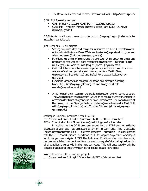• The Resource Center and Primary Database in GABI – <http://www.rzpd.de/>

GABI Bioinformatics centers:

- GABI Primary Database (GABI-PD) <http://gabi.rzpd.de/>
- GABI-Info Werner Mewes (mewes@gsf.de ) and Klaus F.X. Mayer (kmayer@gsf.de )

GABI-funded *Arabidopsis* research projects: <http://mips.gsf.de/proj/gabi/projects/> index.html#arabidopsis

*Joint Génoplante - GABI projects:*

- Sharing sequence data and computer resources on T-DNA transformants of *Arabidopsis thaliana* – Bernd Weishaar (weisshaa@mpiz-koeln.mpg.de) and Alain Lecharny (Alain.Lecharny@evry.inra.fr)
- Functional genomics of membrane transporters A European genomics and proteomics resource for plant membrane transporter – Ulf Ingo Flügge (ui.fluegge@uni-koeln.de) and Jacques Joyard (Jjoyard@cea.fr)
- Cell wall: Interactions between components, identification and functional analysis of cell wall proteins and polysaccharide – Martin Steup (msteup@rz.uni-potsdam.de) and Rafael Pont-Lezica (lezica@smcv. ups-tlse.fr)
- Functional genomics of nitrogen utilisation and nitrogen signaling Mark Stitt (stitt@mpimp-golm.mpg.de) and Françoise Vedele (vedele@versailles.inra.fr)
- A fifth joint French German project is in discussion and will come up soon. The working title of this project is: "Evaluation of natural diversity in *Arabidopsis* accessions for traits of agronomic or basic importance". The coordinators of this project will be: Georges Pelletier (pelletie@versailles.inra.fr), Mark Stitt (stitt@mpimp-golm.mpg.de) and Thomas Altmann (altmann@mpimpgolm.mpg.de)

#### *Arabidopsis Functional Genomics Network (AFGN)*

<http://www.uni-frankfurt.de/fb15/botanik/mcb/AFGN/AFGNHome.html> AFGN Coordinator: Lutz Nover (nover@cellbiology.uni-frankfurt.de)

In addition to the GABI program funded by the BMBF, another initiative discussed a year ago has attracted attention in Germany. The Deutsche Forschungsgemeinschaft (DFG) - German Research Foundation – is coordinating with the US National Science Foundation (NSF) to support projects on *Arabidopsis* functional genome analysis. AFGN, the *Arabidopsis* Functional Genomics Network, has been established in order to achieve the enormous goal of elucidating the function of all *Arabidopsis* genes within the next ten years. This will undoubtedly only be possible if additional programmes in other countries also participate.



Information about AFGN-funded projects: <http://www.uni-frankfurt.de/fb15/botanik/mcb/AFGN/Memebers.html>

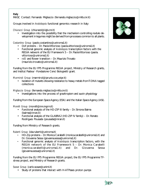#### **Italy**

MASC Contact: Fernando Migliaccio (fernando.migliaccio@mlib.cnr.it)

Groups involved in *Arabidopsis* functional genomics research in Italy:

*Chiurazzi Group* (chiurazzi@iigb.cnr.it)

• Investigation into the possibility that the mechanism controlling nodule development in legumes might be derived from processes common to all plants.

*Costantino Group* (paolo.costantino@uniroma1.it)

- Dof proteins Dr. Paola Vittorioso (paola.vittorioso@uniroma1.it)
- Functional genomic analysis of *Arabidopsis* transcription factors with the REGIA network of the EU Framework 5 – Dr. Paola Vittorioso (paola. vittorioso@uniroma1.it)
- *rolD* and flower transition Dr. Maurizio Trovato (maurizio.trovato@uniroma1.it)

Funding from the EU FP5 Programme REGIA project, Ministry of Research grants, and Institut Pasteur -Fondazione Cenci Bolognetti grant.

*Marmiroli Group* (marmirol@ipruniv.cce.unipr.it)

• Isolation of mutants showing resistance to heavy metals from T-DNA tagged collections

*Migliaccio Group* (fernando.migliaccio@mlib.cnr.it)

• Investigations into the process of gravitropism and auxin physiology

Funding from the European Space Agency (ESA) and the Italian Space Agency (ASI).

*Morelli Group* (morelli@inn.ingrm.it)

- Functional analysis of the HD-ZIP III family Dr. Simona Baima (baima@inran.it)
- Functional analysis of the GLABRA2 (HD-ZIP IV family) Dr. Renato Rodrigues Pousada (pousada@inran.it)

Funding from Ministry of Research grants.

*Ruberti Group* (ida.ruberti@uniroma.it)

- HD-Zip proteins Dr. Monica Carabelli (monica.carabelli@uniroma1.it) and Dr. Giovanna Sessa (giovanna.sessa@uniroma1.it)
- Functional genomic analysis of *Arabidopsis* transcription factors, with the REGIA network of the EU Framework 5 – Dr. Monica Carabelli (monica.carabelli@uniroma1.it) and Dr. Giovanna Sessa (giovanna.sessa@uniroma1.it)

Funding from the EU FP5 Programme REGIA project, the EU FP5 Programme TFstress project, and Ministry of Research grants.

*Soave Group* (carlo.soave@unimi.it)

Study of proteins that interact with H-ATPases proton pumps



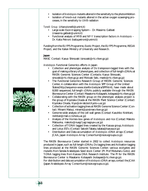- Isolation of *Arabidopsis* mutants altered in the sensitivity to the photoinhibition
- Isolation of knock-out mutants altered in the active oxygen scavenging processes, in the sensitivity to UV-B radiation

*Tonelli Group* (chiara.tonelli@unimi.it)

- Large-scale Exon-trapping System Dr. Massimo Galbiati (massimo.galbiati@unimi.it)
- Functional analysis of MYB and NF-Y transcription factors in *Arabidopsis* Dr. Katia Petroni (katia.petroni@unimi.it)

Funding from the EU FP5 Programme, Exotic Project, the EU FP5 Programme, REGIA Project, and the Italian Ministry of University and Research.

#### **Japan**

MASC Contact: Kazuo Shinozaki (sinozaki@rtc.riken.go.jp)

*Arabidopsis* Functional Genomics efforts in Japan:

- Collection and phenotype analysis of Ds transposon-tagged lines with the goal of making a library of phenotypes, and collection of full-length cDNAs at RIKEN Genomic Sciences Center (Contacts: Kazuo Shinozaki, sinozaki@rtc.riken.go.jp and Motoaki Seki, mseki@rtc.riken.go.jp)
- The Functional Genomics Research Group of RIKEN Genomic Sciences Center, in collaboration with the *Arabidopsis* SPP Group of the United States([http://sequence-www.stanford.edu/ara/SPP.html\),](http://sequence-www.stanford.edu/ara/SPP.html) have made about 8,000 sequenced, full-length cDNAs publicly available through the RIKEN Bioresource Center (Contact: Masatomo Kobayashi, kobayasi@rtc.riken.go.jp)
- Collaborating with the RIKEN group on the phenotypic analysis project is the group of Kiyotaka Okada at the RIKEN Plant Science Center (Contact: Kiyotaka Okada, Kiyo@ok-lab.bot.Kyoto-u.ac.jp)
- Collection of activation tagging lines at RIKEN Genome Science Center (Contact: Minami Matsui, minami@postman.riken.go.jp)
- Genome-wide analysis of the cell wall genes (Contact Kazuhiko Nishitani, nishitan@mail.cc.tohoku.ac.jp)
- Analysis of the Homeo-box genes of *Arabidopsis* and rice (Contact Makoto Matsuoka, makoto@nuagr1.agr.nagoya-u.ac.jp)
- Collection of T-DNA tagged lines created by the Kazusa group, *Arabidopsis* and Lotus ESTs (Contact Satoshi Tabata, tabata@kazusa.or.jp)
- Distribution and Data accumulation of *Arabidopsis* cDNA arrays (Contact JCAA, Japan *Arabidopsis* Array Consortium@isize.egroups.co.jp)

The RIKEN Bioresource Center started in 2002 to collect *Arabidopsis* resources produced in Japan, such as: full-length cDNAs; Ds tagging lines and Activation tagging lines produced at the RIKEN Genomic Sciences Center; various ecotyptes and mutants from Sendai Arabidopsis Seed stock Center (PI: Prof Mobuharu Goto); and T-DNA tagging lines from Kazusa DNA Research Institute. The PI for the RIKEN Bioresource Center is Masatamo Kobayashi (kobayasi@rtc.riken.go.jp).

For distribution and data accumulation of *Arabidopsis* cDNA arrays, contact the JCAA (Japan Arabidopsis Array Consortium@isize.egroups.co.jp).



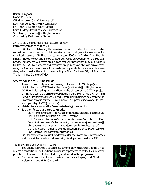#### **United Kingdom**

MASC Contacts: Ottoline Leyser (hmol1@york.ac.uk) Karin van de Sande (kvd1@york.ac.uk) Ian Furner (ijf@mole.bio.cam.ac.uk) Keith Lindsey (keith.lindsey@durham.ac.uk) Sean May (arabidopsis@nottingham.ac.uk) Compiled by Karin van de Sande

### *GARNet, the Genomic Arabidopsis Resource Network* [\(http://garnet.arabidopsis.org.uk\)](http://garnet.arabidopsis.org.uk)

GARNet is establishing the infrastructure and expertise to provide reliable and efficient user-driven and publicly-available functional genomics resources for *Arabidopsis* research. GARNet started in January 2000 with funding from the UK BBRSC (Biotechnology and Biological Sciences Research Council) for a three year period. The services will move onto a cost recovery basis when BBSRC funding is finished. All GARNet services and resources are publicly available and data created using the GARNet resources will be made publicly available via various databases designed and held at the Nottingham *Arabidopsis* Stock Centre (AGR, NTP) and the The John Innes Centre (ATIdb).

Services available at GARNet include:

- Transcriptome analysis service (using GSTs from CATMA, http://jic[bioinfo.bbsrc.ac.uk/CATMA\) – Sean May \(arabidopsis@nottingham.a](http://jic-bioinfo.bbsrc.ac.uk/CATMA)c.uk), GARNet is also taking part in, and funding the UK part of, the CATMA project, aiming at creating a Complete Arabidopsis Transcriptome Micro Array – Jim Benyon (jim.benyon@hri.ac.uk) and Martin Trick (martin.trick@bbsrc.ac.uk)
- Proteome analysis service Paul Dupree (p.dupree@bioc.cam.ac.uk) and Kathryn Lilley (ksl23@cam.ac.uk)
- Metabolite analysis Mike Beale (mike.beale@bbrsc.ac.uk)
- Tools for forward and reverse genetics:
	- dSPm line generation Jonathan Jones (jonathan.jones@bbsrc.ac.uk)
	- SINS (Sequence of INsertion Sites) Database [\(http://www.jic.bbsrc.ac.uk/staff/michael-bevan/atis/index.htm\)](http://www.jic.bbsrc.ac.uk/staff/michael-bevan/atis/index.htm) – Mike Bevan (michael.bevan@bbsrc.ac.uk), Jonathan Jones (jonathan.jones@ bbsrc.ac.uk), and Jonathan Clarke (jonathan.clarke@bbsrc.ac.uk)
	- GeTCID (Gene Transfer Clone Identification and Distribution service) – Ian Bancroft (ian.bancroft@bbsrc.ac.uk)
- Bioinformatics resources include databases for the proteomics, metabolomics and transcriptomics data that are being developed and held at NASC

#### *The BBSRC Exploiting Genomics Initiative*

The BBSRC launched a targeted initiative to allow researchers in the UK to assemble consortia to use Functional Genomics approaches to tackle their research priorities. Below are the plant-related projects funded in this programme.

• Functional genomics of shoot meristem dormancy (Leyser, H. M. O., M. Holdsworth, and M. M. Campbell)



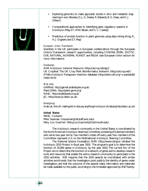- Exploiting genomics to make glycosidic bonds in vitro and metabolic engineering in vivo (Bowles, D. J., G. Davies, R. Edwards, B. G. Davis, and H. J. Gilbert)
- Computational approaches to identifying gene regulatory systems in *Arabidopsis* (May, S. T., M. W. Bevan, and G. C. Cawley)
- Prediction of protein function in plant genomes using data mining (King, R., H. J. Ougham, and S. T. May)

#### *European Union Framework*

Scientists in the UK participate in European collaborations through the European Union's Framework research opportunities, including CONFAB, EDEN, EXOTIC, GVE, NATURAL, NONEMA, PLANET and REGIA (see European Union section for more information).

#### *Databases*

AGR: *Arabidopsis* Genome Resource [\(http://ukcrop.net/agr/\)](http://ukcrop.net/agr/) UK CropNet: The UK Crop Plant Bioinformatics Network [\(http://ukcrop.net/\)](http://ukcrop.net/) ATIdb: *Arabidopsis* Transposon Insertion database [\(http://stein.cshl.org/~x-pan/atidb/](http://stein.cshl.org/~x-pan/atidb/) index.html)

#### *Web sites*

GARNet: <http://garnet.arabidopsis.org.uk/> Plant-GEMs: <http://plant-gems.org/> NASC: <http://arabidopsis.org.uk/> JIC: <http://www.jic.bbsrc.ac.uk/>

#### *Newsgroup* Arab-uk, the UK mailing list to discuss anything *Arabidopsis* (Arabuk@lists.bbsrc.ac.uk)

### **United States**

MASC Contacts: Mike Sussman (msussman@facstaff.wisc.edu) Mary Lou Guerinot (Mary.Lou.Guerinot@Dartmouth.edu)

The *Arabidopsis* research community in the United States is coordinated by the North American *Arabidopsis* Steering Committee, consisting of 6 elected members who serve two-year terms. Two members rotate off every year. Two members of the Committee represent U.S. on the Multinational *Arabidopsis* Steering Committee.

The National Science Foundation (NSF) [\(http://www.nsf.gov\)](http://www.nsf.gov) initiated the *Arabidopsis* 2010 Project in fiscal year 2001. The program's goal is to determine the function of 25,000 genes in *Arabidopsis* by the year 2010. The current foci of the Project are to determine the function of a network of genes and to develop research tools and resources that enable the entire research community to participate in the 2010 activities. NSF requires that the 2010 awards be coordinated with similar activities world-wide, that the investigators post publicly the identity of genes under investigation, and that the outcome of the awards (data, information and materials) be made available to the public according to the timetable approved by NSF. Twenty-



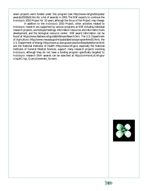seven projects were funded under this program (see <http://www.nsf.gov/bio/pubs/> awards/2010fy01.htm for a list of awards) in 2001. The NSF expects to continue the *Arabidopsis* 2010 Project for 10 years, although the focus of the Project may change.

 In addition to the *Arabidopsis* 2010 Project, other activities related to *Arabidopsis* research are supported by various programs at NSF, including individual research projects, workshops/meetings, information resources and informatics tools development, and the biological resource center. NSF award information can be found at [https://www.fastlane.nsf.gov/a6/A6AwardSearch.htm.](https://www.fastlane.nsf.gov/a6/A6AwardSearch.htm) The U.S. Department of Agriculture [\(http://www.reeusda.gov/nri/pubs/abstracts/programlinks01.htm\),](http://www.reeusda.gov/nri/pubs/abstracts/programlinks01.htm) the U.S. Department of Energy [\(http://www.sc.doe.gov/production/bes/eb/ebhome.html\)](http://www.sc.doe.gov/production/bes/eb/ebhome.html) and the National Institutes of Health [\(http://www.nih.gov\),](http://www.nih.gov) especially the National Institutes of General Medical Sciences, support many research projects involving *Arabidopsis*, although they do not have a funding program specifically targeted to *Arabidopsis* research (NIH awards can be searched at <http://commons.cit.nih.gov/> crisp3/Crisp\_Query.Generate\_Screen).



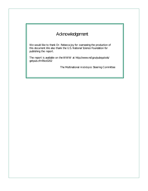## Acknowledgement

We would like to thank Dr. Rebecca Joy for overseeing the production of this document. We also thank the U.S. National Science Foundation for publishing the report.

The report is available on the WWW at <http://www.nsf.gov/pubsys/ods/> getpub.cfm?bio0202

The Multinational *Arabidopsis* Steering Committee